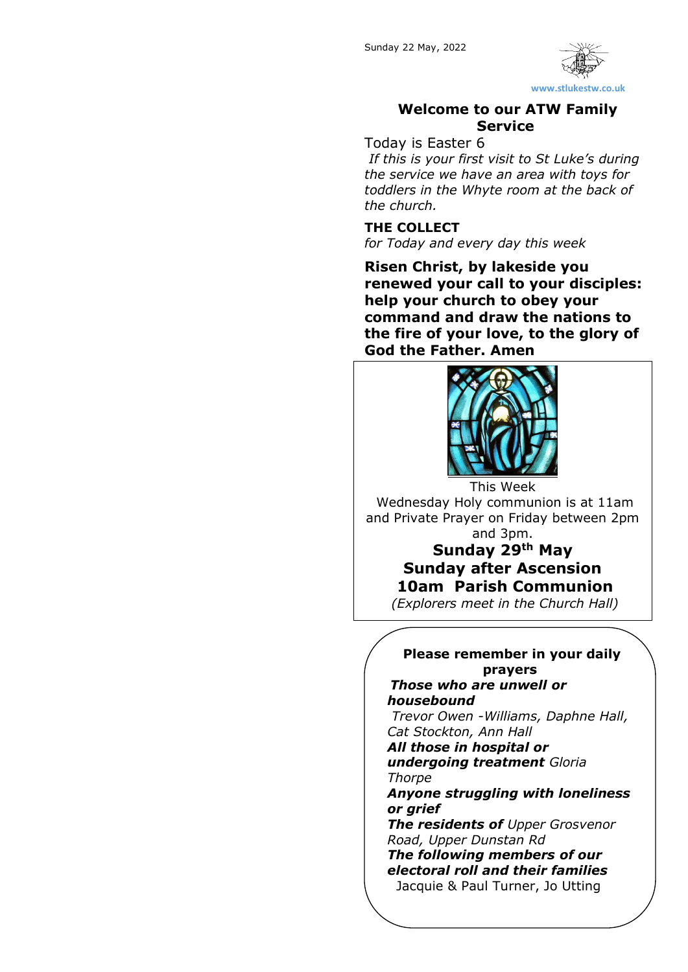

#### **Welcome to our ATW Family Service**

#### Today is Easter 6

*If this is your first visit to St Luke's during the service we have an area with toys for toddlers in the Whyte room at the back of the church.*

#### **THE COLLECT**

*for Today and every day this week*

**Risen Christ, by lakeside you renewed your call to your disciples: help your church to obey your command and draw the nations to the fire of your love, to the glory of God the Father. Amen**



Wednesday Holy communion is at 11am and Private Prayer on Friday between 2pm and 3pm.

## **Sunday 29th May Sunday after Ascension 10am Parish Communion**

*(Explorers meet in the Church Hall)*

#### **Please remember in your daily prayers**

*Those who are unwell or housebound Trevor Owen -Williams, Daphne Hall,* 

*Cat Stockton, Ann Hall All those in hospital or undergoing treatment Gloria Thorpe*

*Anyone struggling with loneliness or grief*

*The residents of Upper Grosvenor Road, Upper Dunstan Rd The following members of our electoral roll and their families*

Jacquie & Paul Turner, Jo Utting